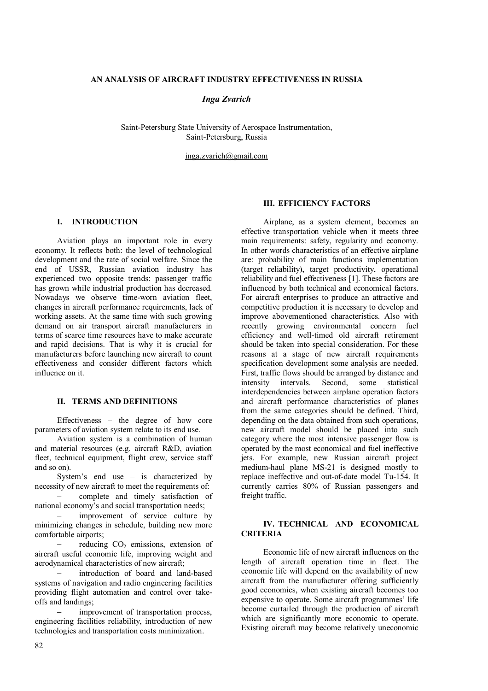#### **AN ANALYSIS OF AIRCRAFT INDUSTRY EFFECTIVENESS IN RUSSIA**

## *Inga Zvarich*

Saint-Petersburg State University of Aerospace Instrumentation, Saint-Petersburg, Russia

inga.zvarich@gmail.com

# **I. INTRODUCTION**

Aviation plays an important role in every economy. It reflects both: the level of technological development and the rate of social welfare. Since the end of USSR, Russian aviation industry has experienced two opposite trends: passenger traffic has grown while industrial production has decreased. Nowadays we observe time-worn aviation fleet, changes in aircraft performance requirements, lack of working assets. At the same time with such growing demand on air transport aircraft manufacturers in terms of scarce time resources have to make accurate and rapid decisions. That is why it is crucial for manufacturers before launching new aircraft to count effectiveness and consider different factors which influence on it.

#### **II. TERMS AND DEFINITIONS**

Effectiveness – the degree of how core parameters of aviation system relate to its end use.

Aviation system is a combination of human and material resources (e.g. aircraft R&D, aviation fleet, technical equipment, flight crew, service staff and so on).

System's end use – is characterized by necessity of new aircraft to meet the requirements of: complete and timely satisfaction of national economy's and social transportation needs;

 improvement of service culture by minimizing changes in schedule, building new more comfortable airports;

reducing  $CO<sub>2</sub>$  emissions, extension of aircraft useful economic life, improving weight and aerodynamical characteristics of new aircraft;

 introduction of board and land-based systems of navigation and radio engineering facilities providing flight automation and control over takeoffs and landings;

 improvement of transportation process, engineering facilities reliability, introduction of new technologies and transportation costs minimization.

82

# **III. EFFICIENCY FACTORS**

Airplane, as a system element, becomes an effective transportation vehicle when it meets three main requirements: safety, regularity and economy. In other words characteristics of an effective airplane are: probability of main functions implementation (target reliability), target productivity, operational reliability and fuel effectiveness [1]. These factors are influenced by both technical and economical factors. For aircraft enterprises to produce an attractive and competitive production it is necessary to develop and improve abovementioned characteristics. Also with recently growing environmental concern fuel efficiency and well-timed old aircraft retirement should be taken into special consideration. For these reasons at a stage of new aircraft requirements specification development some analysis are needed. First, traffic flows should be arranged by distance and intensity intervals. Second, some statistical interdependencies between airplane operation factors and aircraft performance characteristics of planes from the same categories should be defined. Third, depending on the data obtained from such operations, new aircraft model should be placed into such category where the most intensive passenger flow is operated by the most economical and fuel ineffective jets. For example, new Russian aircraft project medium-haul plane MS-21 is designed mostly to replace ineffective and out-of-date model Tu-154. It currently carries 80% of Russian passengers and freight traffic.

## **IV. TECHNICAL AND ECONOMICAL CRITERIA**

Economic life of new aircraft influences on the length of aircraft operation time in fleet. The economic life will depend on the availability of new aircraft from the manufacturer offering sufficiently good economics, when existing aircraft becomes too expensive to operate. Some aircraft programmes' life become curtailed through the production of aircraft which are significantly more economic to operate. Existing aircraft may become relatively uneconomic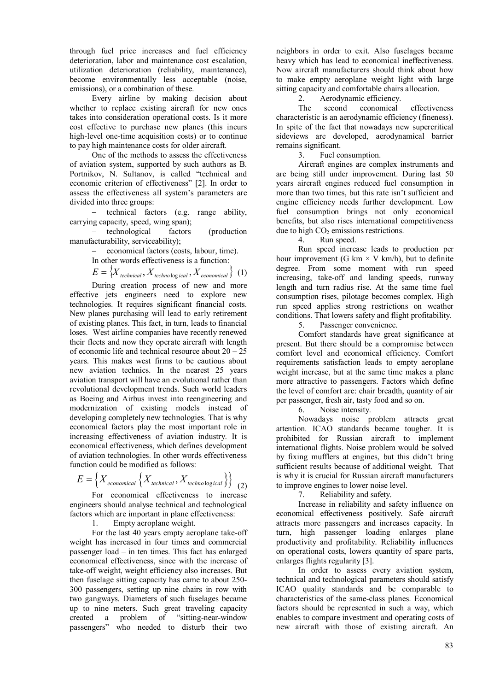through fuel price increases and fuel efficiency deterioration, labor and maintenance cost escalation. utilization deterioration (reliability, maintenance), become environmentally less acceptable (noise, emissions), or a combination of these.

Every airline by making decision about whether to replace existing aircraft for new ones takes into consideration operational costs. Is it more cost effective to purchase new planes (this incurs high-level one-time acquisition costs) or to continue to pay high maintenance costs for older aircraft.

One of the methods to assess the effectiveness of aviation system, supported by such authors as B. Portnikov, N. Sultanov, is called "technical and economic criterion of effectiveness" [2]. In order to assess the effectiveness all system's parameters are divided into three groups:

- technical factors (e.g. range ability, carrying capacity, speed, wing span);

 technological factors (production manufacturability, serviceability);

- economical factors (costs, labour, time).

In other words effectiveness is a function:

$$
E = \{X_{\text{technical}}, X_{\text{technical}}, X_{\text{echoological}}, X_{\text{economical}}\} \quad (1)
$$

During creation process of new and more effective jets engineers need to explore new technologies. It requires significant financial costs. New planes purchasing will lead to early retirement of existing planes. This fact, in turn, leads to financial loses. West airline companies have recently renewed their fleets and now they operate aircraft with length of economic life and technical resource about  $20 - 25$ years. This makes west firms to be cautious about new aviation technics. In the nearest 25 years aviation transport will have an evolutional rather than revolutional development trends. Such world leaders as Boeing and Airbus invest into reengineering and modernization of existing models instead of developing completely new technologies. That is why economical factors play the most important role in increasing effectiveness of aviation industry. It is economical effectiveness, which defines development of aviation technologies. In other words effectiveness function could be modified as follows:

$$
E = \left\{ X_{economical} \left\{ X_{technical}, X_{technological} \right\} \right\}
$$
 (2)

For economical effectiveness to increase engineers should analyse technical and technological factors which are important in plane effectiveness:

1. Empty aeroplane weight.

For the last 40 years empty aeroplane take-off weight has increased in four times and commercial passenger load – in ten times. This fact has enlarged economical effectiveness, since with the increase of take-off weight, weight efficiency also increases. But then fuselage sitting capacity has came to about 250- 300 passengers, setting up nine chairs in row with two gangways. Diameters of such fuselages became up to nine meters. Such great traveling capacity created a problem of "sitting-near-window passengers" who needed to disturb their two

neighbors in order to exit. Also fuselages became heavy which has lead to economical ineffectiveness. Now aircraft manufacturers should think about how to make empty aeroplane weight light with large sitting capacity and comfortable chairs allocation.

2. Aerodynamic efficiency.

The second economical effectiveness characteristic is an aerodynamic efficiency (fineness). In spite of the fact that nowadays new supercritical sideviews are developed, aerodynamical barrier remains significant.

3. Fuel consumption.

Aircraft engines are complex instruments and are being still under improvement. During last 50 years aircraft engines reduced fuel consumption in more than two times, but this rate isn't sufficient and engine efficiency needs further development. Low fuel consumption brings not only economical benefits, but also rises international competitiveness due to high  $CO<sub>2</sub>$  emissions restrictions.<br>4. Run speed.

Run speed.

Run speed increase leads to production per hour improvement (G km  $\times$  V km/h), but to definite degree. From some moment with run speed increasing, take-off and landing speeds, runway length and turn radius rise. At the same time fuel consumption rises, pilotage becomes complex. High run speed applies strong restrictions on weather conditions. That lowers safety and flight profitability.

5. Passenger convenience.

Comfort standards have great significance at present. But there should be a compromise between comfort level and economical efficiency. Comfort requirements satisfaction leads to empty aeroplane weight increase, but at the same time makes a plane more attractive to passengers. Factors which define the level of comfort are: chair breadth, quantity of air per passenger, fresh air, tasty food and so on.

6. Noise intensity.

Nowadays noise problem attracts great attention. ICAO standards became tougher. It is prohibited for Russian aircraft to implement international flights. Noise problem would be solved by fixing mufflers at engines, but this didn't bring sufficient results because of additional weight. That is why it is crucial for Russian aircraft manufacturers to improve engines to lower noise level.

7. Reliability and safety.

Increase in reliability and safety influence on economical effectiveness positively. Safe aircraft attracts more passengers and increases capacity. In turn, high passenger loading enlarges plane productivity and profitability. Reliability influences on operational costs, lowers quantity of spare parts, enlarges flights regularity [3].

In order to assess every aviation system, technical and technological parameters should satisfy ICAO quality standards and be comparable to characteristics of the same-class planes. Economical factors should be represented in such a way, which enables to compare investment and operating costs of new aircraft with those of existing aircraft. An